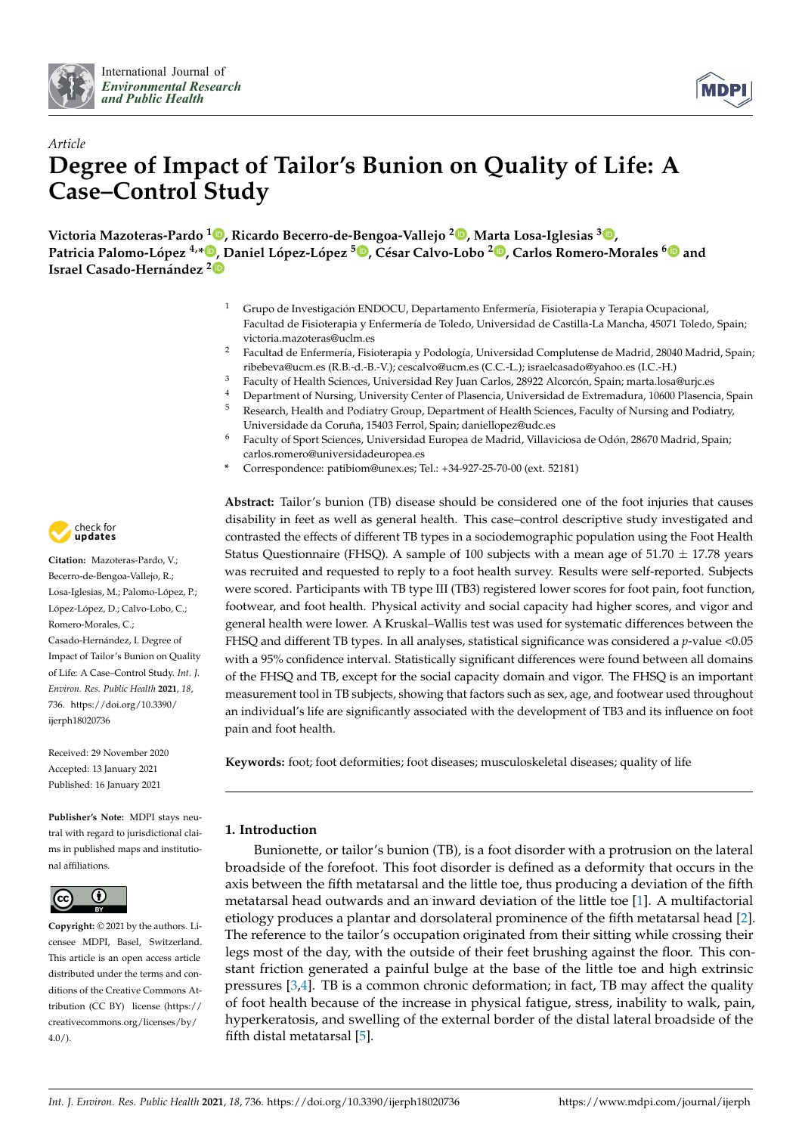



# *Article* **Degree of Impact of Tailor's Bunion on Quality of Life: A Case–Control Study**

**Victoria Mazoteras-Pardo <sup>1</sup> [,](https://orcid.org/0000-0001-5741-7606) Ricardo Becerro-de-Bengoa-Vallejo <sup>2</sup> [,](https://orcid.org/0000-0003-1568-7602) Marta Losa-Iglesias [3](https://orcid.org/0000-0001-7588-2069) ,** Patricia Palomo-López <sup>4[,](https://orcid.org/0000-0002-6569-1311)</sup>\*®, Daniel López-López <sup>5</sup>®, César Calvo-Lobo <sup>2</sup>®, Carlos Romero-Morales <sup>[6](https://orcid.org/0000-0001-6598-829X)</sup>® and **Israel Casado-Hernández [2](https://orcid.org/0000-0002-8537-425X)**

- <sup>1</sup> Grupo de Investigación ENDOCU, Departamento Enfermería, Fisioterapia y Terapia Ocupacional, Facultad de Fisioterapia y Enfermería de Toledo, Universidad de Castilla-La Mancha, 45071 Toledo, Spain; victoria.mazoteras@uclm.es
- <sup>2</sup> Facultad de Enfermería, Fisioterapia y Podología, Universidad Complutense de Madrid, 28040 Madrid, Spain; ribebeva@ucm.es (R.B.-d.-B.-V.); cescalvo@ucm.es (C.C.-L.); israelcasado@yahoo.es (I.C.-H.)
- <sup>3</sup> Faculty of Health Sciences, Universidad Rey Juan Carlos, 28922 Alcorcón, Spain; marta.losa@urjc.es
- 4 Department of Nursing, University Center of Plasencia, Universidad de Extremadura, 10600 Plasencia, Spain<br>5 Recepts Health and Podiatry Croup Department of Health Sciences, Exculty of Nursing and Podiatry <sup>5</sup> Research, Health and Podiatry Group, Department of Health Sciences, Faculty of Nursing and Podiatry,
	- Universidade da Coruña, 15403 Ferrol, Spain; daniellopez@udc.es
- <sup>6</sup> Faculty of Sport Sciences, Universidad Europea de Madrid, Villaviciosa de Odón, 28670 Madrid, Spain; carlos.romero@universidadeuropea.es
- **\*** Correspondence: patibiom@unex.es; Tel.: +34-927-25-70-00 (ext. 52181)

**Abstract:** Tailor's bunion (TB) disease should be considered one of the foot injuries that causes disability in feet as well as general health. This case–control descriptive study investigated and contrasted the effects of different TB types in a sociodemographic population using the Foot Health Status Questionnaire (FHSQ). A sample of 100 subjects with a mean age of  $51.70 \pm 17.78$  years was recruited and requested to reply to a foot health survey. Results were self-reported. Subjects were scored. Participants with TB type III (TB3) registered lower scores for foot pain, foot function, footwear, and foot health. Physical activity and social capacity had higher scores, and vigor and general health were lower. A Kruskal–Wallis test was used for systematic differences between the FHSQ and different TB types. In all analyses, statistical significance was considered a *p*-value <0.05 with a 95% confidence interval. Statistically significant differences were found between all domains of the FHSQ and TB, except for the social capacity domain and vigor. The FHSQ is an important measurement tool in TB subjects, showing that factors such as sex, age, and footwear used throughout an individual's life are significantly associated with the development of TB3 and its influence on foot pain and foot health.

**Keywords:** foot; foot deformities; foot diseases; musculoskeletal diseases; quality of life

# **1. Introduction**

Bunionette, or tailor's bunion (TB), is a foot disorder with a protrusion on the lateral broadside of the forefoot. This foot disorder is defined as a deformity that occurs in the axis between the fifth metatarsal and the little toe, thus producing a deviation of the fifth metatarsal head outwards and an inward deviation of the little toe [\[1\]](#page-8-0). A multifactorial etiology produces a plantar and dorsolateral prominence of the fifth metatarsal head [\[2\]](#page-8-1). The reference to the tailor's occupation originated from their sitting while crossing their legs most of the day, with the outside of their feet brushing against the floor. This constant friction generated a painful bulge at the base of the little toe and high extrinsic pressures  $[3,4]$  $[3,4]$ . TB is a common chronic deformation; in fact, TB may affect the quality of foot health because of the increase in physical fatigue, stress, inability to walk, pain, hyperkeratosis, and swelling of the external border of the distal lateral broadside of the fifth distal metatarsal [\[5\]](#page-8-4).



**Citation:** Mazoteras-Pardo, V.; Becerro-de-Bengoa-Vallejo, R.; Losa-Iglesias, M.; Palomo-López, P.; López-López, D.; Calvo-Lobo, C.; Romero-Morales, C.; Casado-Hernández, I. Degree of Impact of Tailor's Bunion on Quality of Life: A Case–Control Study. *Int. J. Environ. Res. Public Health* **2021**, *18*, 736. [https://doi.org/10.3390/](https://doi.org/10.3390/ijerph18020736) [ijerph18020736](https://doi.org/10.3390/ijerph18020736)

Received: 29 November 2020 Accepted: 13 January 2021 Published: 16 January 2021

**Publisher's Note:** MDPI stays neutral with regard to jurisdictional claims in published maps and institutional affiliations.



**Copyright:** © 2021 by the authors. Licensee MDPI, Basel, Switzerland. This article is an open access article distributed under the terms and conditions of the Creative Commons Attribution (CC BY) license [\(https://](https://creativecommons.org/licenses/by/4.0/) [creativecommons.org/licenses/by/](https://creativecommons.org/licenses/by/4.0/) [4.0/\)](https://creativecommons.org/licenses/by/4.0/).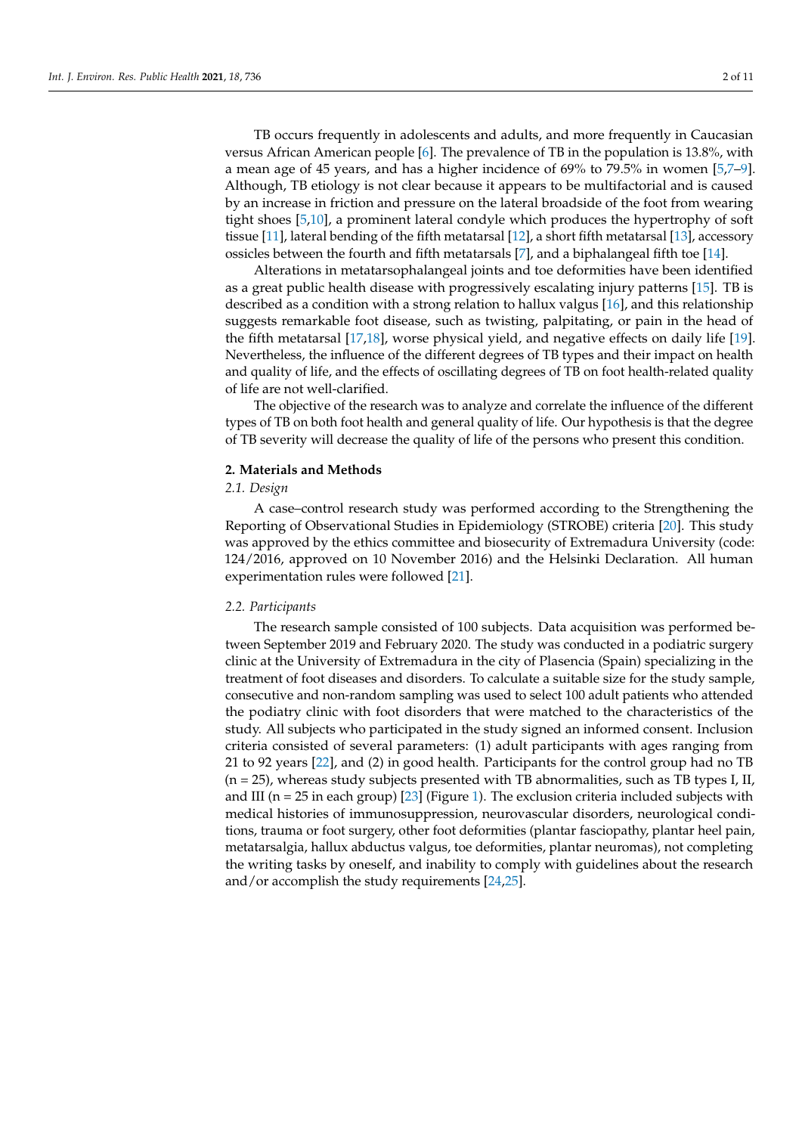TB occurs frequently in adolescents and adults, and more frequently in Caucasian versus African American people [\[6\]](#page-8-5). The prevalence of TB in the population is 13.8%, with a mean age of 45 years, and has a higher incidence of 69% to 79.5% in women [\[5,](#page-8-4)[7](#page-8-6)[–9\]](#page-8-7). Although, TB etiology is not clear because it appears to be multifactorial and is caused by an increase in friction and pressure on the lateral broadside of the foot from wearing tight shoes [\[5](#page-8-4)[,10\]](#page-8-8), a prominent lateral condyle which produces the hypertrophy of soft tissue [\[11\]](#page-8-9), lateral bending of the fifth metatarsal [\[12\]](#page-8-10), a short fifth metatarsal [\[13\]](#page-8-11), accessory ossicles between the fourth and fifth metatarsals [\[7\]](#page-8-6), and a biphalangeal fifth toe [\[14\]](#page-9-0).

Alterations in metatarsophalangeal joints and toe deformities have been identified as a great public health disease with progressively escalating injury patterns [\[15\]](#page-9-1). TB is described as a condition with a strong relation to hallux valgus [\[16\]](#page-9-2), and this relationship suggests remarkable foot disease, such as twisting, palpitating, or pain in the head of the fifth metatarsal [\[17](#page-9-3)[,18\]](#page-9-4), worse physical yield, and negative effects on daily life [\[19\]](#page-9-5). Nevertheless, the influence of the different degrees of TB types and their impact on health and quality of life, and the effects of oscillating degrees of TB on foot health-related quality of life are not well-clarified.

The objective of the research was to analyze and correlate the influence of the different types of TB on both foot health and general quality of life. Our hypothesis is that the degree of TB severity will decrease the quality of life of the persons who present this condition.

## **2. Materials and Methods**

# *2.1. Design*

A case–control research study was performed according to the Strengthening the Reporting of Observational Studies in Epidemiology (STROBE) criteria [\[20\]](#page-9-6). This study was approved by the ethics committee and biosecurity of Extremadura University (code: 124/2016, approved on 10 November 2016) and the Helsinki Declaration. All human experimentation rules were followed [\[21\]](#page-9-7).

## *2.2. Participants*

The research sample consisted of 100 subjects. Data acquisition was performed between September 2019 and February 2020. The study was conducted in a podiatric surgery clinic at the University of Extremadura in the city of Plasencia (Spain) specializing in the treatment of foot diseases and disorders. To calculate a suitable size for the study sample, consecutive and non-random sampling was used to select 100 adult patients who attended the podiatry clinic with foot disorders that were matched to the characteristics of the study. All subjects who participated in the study signed an informed consent. Inclusion criteria consisted of several parameters: (1) adult participants with ages ranging from 21 to 92 years [\[22\]](#page-9-8), and (2) in good health. Participants for the control group had no TB  $(n = 25)$ , whereas study subjects presented with TB abnormalities, such as TB types I, II, and III ( $n = 25$  in each group) [\[23\]](#page-9-9) (Figure [1\)](#page-2-0). The exclusion criteria included subjects with medical histories of immunosuppression, neurovascular disorders, neurological conditions, trauma or foot surgery, other foot deformities (plantar fasciopathy, plantar heel pain, metatarsalgia, hallux abductus valgus, toe deformities, plantar neuromas), not completing the writing tasks by oneself, and inability to comply with guidelines about the research and/or accomplish the study requirements [\[24](#page-9-10)[,25\]](#page-9-11).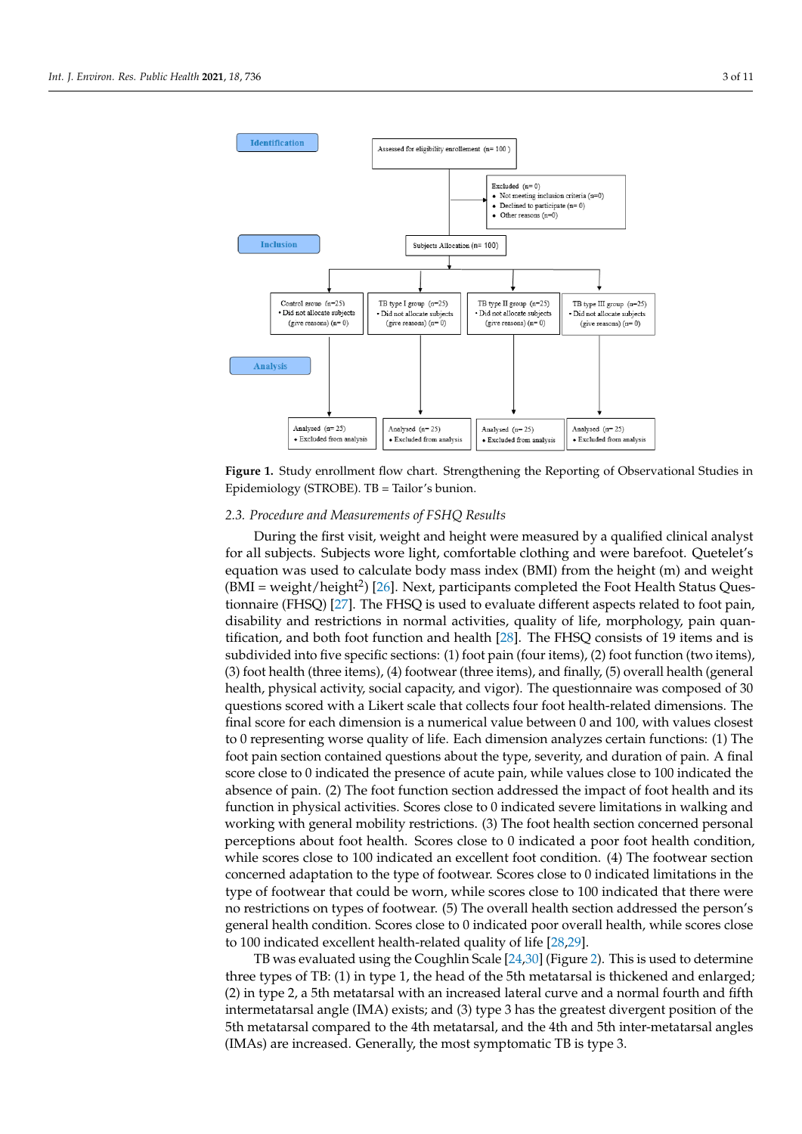<span id="page-2-0"></span>

**Figure 1.** Study enrollment flow chart. Strengthening the Reporting of Observational Studies in  $\overline{F}$ Epidemiology (STROBE). TB = Tailor's bunion. Epidemiology (STROBE). TB = Tailor's bunion.

## *2.3. Procedure and Measurements of FSHQ Results*

*2.3. Procedure and Measurements of FSHQ Results*  During the first visit, weight and height were measured by a qualified clinical analyst for all subjects. Subjects wore light, comfortable clothing and were barefoot. Quetelet's equation was used to calculate body mass index (BMI) from the height (m) and weight  $(BMI = weight/height<sup>2</sup>)$  [\[26\]](#page-9-12). Next, participants completed the Foot Health Status Ques-tionnaire (FHSQ) [\[27\]](#page-9-13). The FHSQ is used to evaluate different aspects related to foot pain, disability and restrictions in normal activities, quality of life, morphology, pain quantification, and both foot function and health [28]. The FHSQ consists of 19 items and is subdivided into five specific sections: (1) foot pain (four items), (2) foot function (two items), (3) foot health (three items), (4) footwear (three items), and finally, (5) overall health (general health, physical activity, social capacity, and vigor). The questionnaire was composed of 30 questions scored with a Likert scale that collects four foot health-related dimensions. The final score for each dimension is a numerical value between 0 and 100, with values closest to 0 representing worse quality of life. Each dimension analyzes certain functions: (1) The foot pain section contained questions about the type, severity, and duration of pain. A final score close to 0 indicated the presence of acute pain, while values close to 100 indicated the absence of pain. (2) The foot function section addressed the impact of foot health and its function in physical activities. Scores close to 0 indicated severe limitations in walking and working with general mobility restrictions. (3) The foot health section concerned personal perceptions about foot health. Scores close to 0 indicated a poor foot health condition, while scores close to 100 indicated an excellent foot condition. (4) The footwear section concerned adaptation to the type of footwear. Scores close to 0 indicated limitations in the type of footwear that could be worn, while scores close to 100 indicated that there were no restrictions on types of footwear. (5) The overall health section addressed the person's general health condition. Scores close to 0 indicated poor overall health, while scores close to 100 indicated excellent health-related quality of life [\[28,](#page-9-14)[29\]](#page-9-15).

TB was evaluated using the Coughlin Scale  $[24,30]$  $[24,30]$  (Figure [2\)](#page-3-0). This is used to determine three types of TB: (1) in type 1, the head of the 5th metatarsal is thickened and enlarged; (2) in type 2, a 5th metatarsal with an increased lateral curve and a normal fourth and fifth intermetatarsal angle (IMA) exists; and (3) type 3 has the greatest divergent position of the 5th metatarsal compared to the 4th metatarsal, and the 4th and 5th inter-metatarsal angles (IMAs) are increased. Generally, the most symptomatic TB is type 3.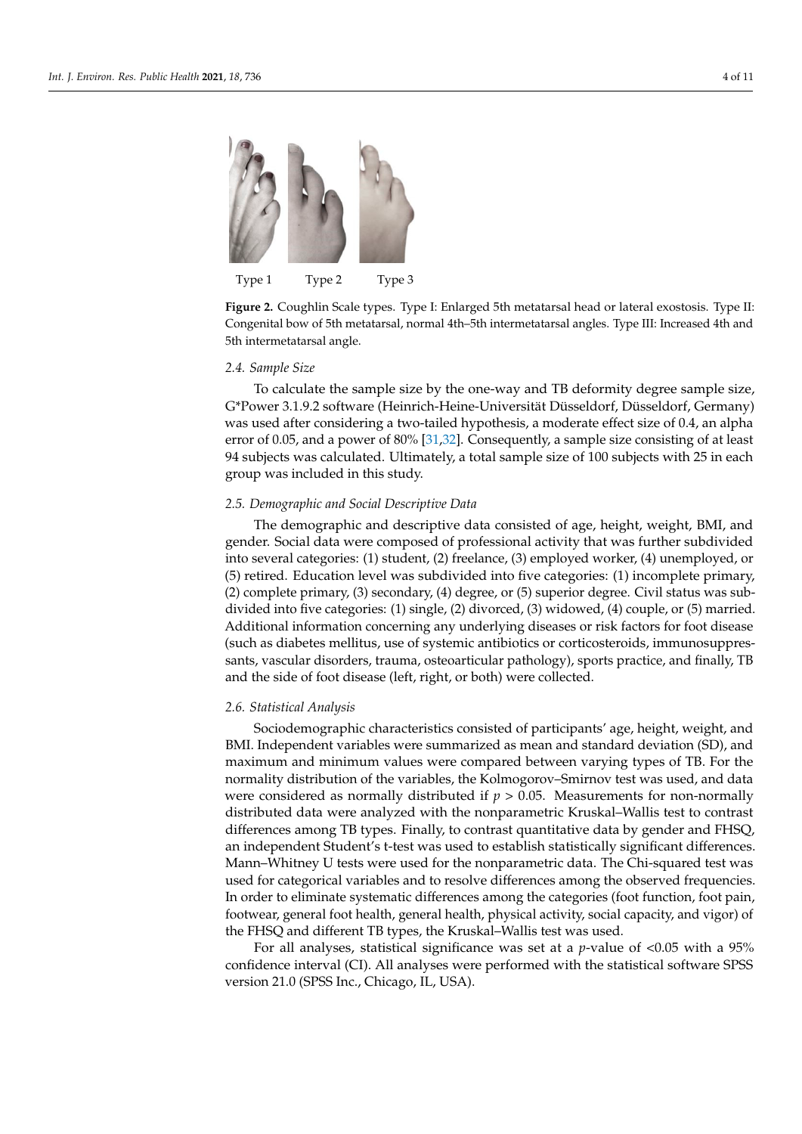<span id="page-3-0"></span>

Type 1 Type 2 Type 3

**Figure 2.** Coughlin Scale types. Type I: Enlarged 5th metatarsal head or lateral exostosis. Type II: **Figure 2.** Coughlin Scale types. Type I: Enlarged 5th metatarsal head or lateral exostosis. Type II: Congenital bow of 5th metatarsal, normal 4th -5th intermetatarsal angles. Type III: Increased 4th Congenital bow of 5th metatarsal, normal 4th–5th intermetatarsal angles. Type III: Increased 4th and 5th intermetatarsal angle.

# 2.4. Sample Size *2.4. Sample Size*

G\*Power 3.1.9.2 software (Heinrich-Heine-Universität Düsseldorf, Düsseldorf, Germany) was used after considering a two-tailed hypothesis, a moderate effect size of 0.4, an alpha error of 0.05, and a power of 80% [\[31,](#page-9-17)[32\]](#page-9-18). Consequently, a sample size consisting of at least 94 subjects was calculated. Ultimately, a total sample size of 100 subjects with 25 in each  $\frac{1}{2}$  subjects was included in this study.  $\overline{a}$  included in this study. To calculate the sample size by the one-way and TB deformity degree sample size, group was included in this study.

# *2.5. Demographic and Social Descriptive Data*

The demographic and descriptive data consisted of age, height, weight, BMI, and gender. Social data were composed of professional activity that was further subdivided into several categories: (1) student, (2) freelance, (3) employed worker, (4) unemployed, or (5) retired. Education level was subdivided into five categories: (1) incomplete primary,  $(2)$  complete primary,  $(3)$  secondary,  $(4)$  degree, or  $(5)$  superior degree. Civil status was subdivided into five categories: (1) single, (2) divorced, (3) widowed, (4) couple, or (5) married. Additional information concerning any underlying diseases or risk factors for foot disease (such as diabetes mellitus, use of systemic antibiotics or corticosteroids, immunosuppressants, vascular disorders, trauma, osteoarticular pathology), sports practice, and finally, TB and the side of foot disease (left, right, or both) were collected.

#### and finally, TB and the side of foot disease (left, right,  $\sigma$  foot disease (left, right,  $\sigma$ ) were collected. *2.6. Statistical Analysis*

*2.6. Statistical Analysis*  Sociodemographic characteristics consisted of participants' age, height, weight, and BMI. Independent variables were summarized as mean and standard deviation (SD), and  $\overline{\text{S}}$ maximum and minimum values were compared between varying types of TB. For the normality distribution of the variables, the Kolmogorov–Smirnov test was used, and data were considered as normally distributed if  $p > 0.05$ . Measurements for non-normally distributed if  $p > 0.05$ . distributed data were analyzed with the nonparametric Kruskal–Wallis test to contrast<br>1972 - 1972 differences among TB types. Finally, to contrast quantitative data by gender and FHSQ, In macpenaent statent *s* t test was ased to establish statistically significant differences.<br>Mann–Whitney U tests were used for the nonparametric data. The Chi-squared test was maint whittey C tests were used for the nonparametric differences among the observed frequencies. In order to eliminate systematic differences among the categories (foot function, foot pain, In order to eminimate systematic differences among the categories (foot ranches), foot pan), footwear, general foot health, general health, physical activity, social capacity, and vigor) of from any general recordering general neutrin, function, function, footies among the capter, function, for the FHSQ and different TB types, the Kruskal–Wallis test was used. an independent Student's t-test was used to establish statistically significant differences.

For all analyses, statistical significance was set at a *p*-value of <0.05 with a 95% confidence interval (CI). All analyses were performed with the statistical software SPSS version 21.0 (SPSS Inc., Chicago, IL, USA).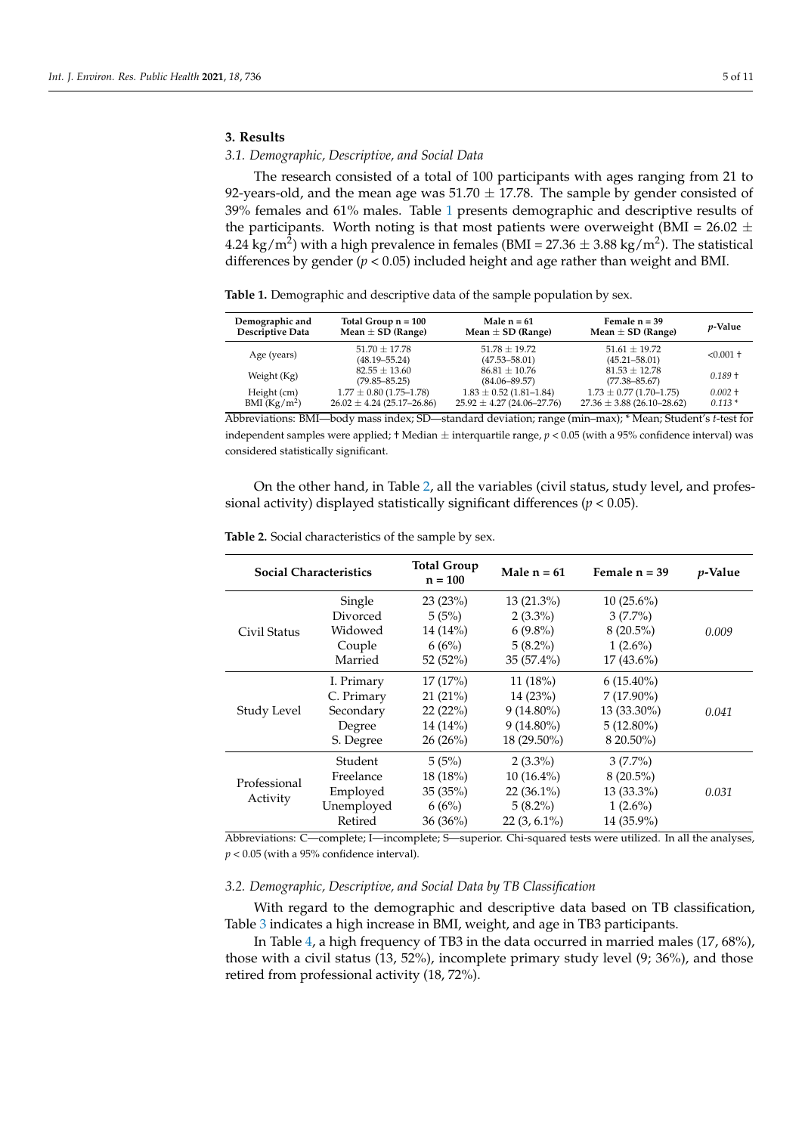# **3. Results**

# *3.1. Demographic, Descriptive, and Social Data*

The research consisted of a total of 100 participants with ages ranging from 21 to 92-years-old, and the mean age was  $51.70 \pm 17.78$ . The sample by gender consisted of 39% females and 61% males. Table [1](#page-4-0) presents demographic and descriptive results of the participants. Worth noting is that most patients were overweight (BMI =  $26.02 \pm$ 4.24 kg/m<sup>2</sup>) with a high prevalence in females (BMI = 27.36  $\pm$  3.88 kg/m<sup>2</sup>). The statistical differences by gender ( $p < 0.05$ ) included height and age rather than weight and BMI.

<span id="page-4-0"></span>**Table 1.** Demographic and descriptive data of the sample population by sex.

| Demographic and          | Total Group $n = 100$                  | Male $n = 61$                          | Female $n = 39$                        | <i>p</i> -Value |
|--------------------------|----------------------------------------|----------------------------------------|----------------------------------------|-----------------|
| <b>Descriptive Data</b>  | Mean $\pm$ SD (Range)                  | Mean $\pm$ SD (Range)                  | Mean $\pm$ SD (Range)                  |                 |
| Age (years)              | $51.70 \pm 17.78$<br>$(48.19 - 55.24)$ | $51.78 \pm 19.72$<br>$(47.53 - 58.01)$ | $51.61 \pm 19.72$<br>$(45.21 - 58.01)$ | $< 0.001 +$     |
| Weight (Kg)              | $82.55 \pm 13.60$<br>$(79.85 - 85.25)$ | $86.81 \pm 10.76$<br>$(84.06 - 89.57)$ | $81.53 \pm 12.78$<br>$(77.38 - 85.67)$ | $0.189 +$       |
| Height (cm)              | $1.77 \pm 0.80$ (1.75-1.78)            | $1.83 \pm 0.52$ (1.81-1.84)            | $1.73 \pm 0.77$ (1.70-1.75)            | $0.002 +$       |
| BMI (Kg/m <sup>2</sup> ) | $26.02 \pm 4.24$ (25.17-26.86)         | $25.92 \pm 4.27$ (24.06-27.76)         | $27.36 \pm 3.88$ (26.10-28.62)         | $0.113*$        |

Abbreviations: BMI—body mass index; SD—standard deviation; range (min–max); \* Mean; Student's *t*-test for independent samples were applied; † Median  $\pm$  interquartile range,  $p < 0.05$  (with a 95% confidence interval) was considered statistically significant.

On the other hand, in Table [2,](#page-4-1) all the variables (civil status, study level, and professional activity) displayed statistically significant differences (*p* < 0.05).

| <b>Social Characteristics</b> |            | <b>Total Group</b><br>$n = 100$ | Male $n = 61$  | Female $n = 39$ | <i>p</i> -Value |
|-------------------------------|------------|---------------------------------|----------------|-----------------|-----------------|
|                               | Single     | 23(23%)                         | $13(21.3\%)$   | $10(25.6\%)$    |                 |
|                               | Divorced   | 5(5%)                           | $2(3.3\%)$     | $3(7.7\%)$      |                 |
| Civil Status                  | Widowed    | $14(14\%)$                      | $6(9.8\%)$     | $8(20.5\%)$     | 0.009           |
|                               | Couple     | 6(6%)                           | $5(8.2\%)$     | $1(2.6\%)$      |                 |
|                               | Married    | 52 $(52\%)$                     | $35(57.4\%)$   | $17(43.6\%)$    |                 |
|                               | I. Primary | 17(17%)                         | 11(18%)        | $6(15.40\%)$    |                 |
|                               | C. Primary | 21(21%)                         | 14(23%)        | $7(17.90\%)$    |                 |
| Study Level                   | Secondary  | 22(22%)                         | $9(14.80\%)$   | 13 (33.30%)     | 0.041           |
|                               | Degree     | $14(14\%)$                      | $9(14.80\%)$   | $5(12.80\%)$    |                 |
|                               | S. Degree  | $26(26\%)$                      | 18 (29.50%)    | 8 20.50%)       |                 |
|                               | Student    | 5(5%)                           | $2(3.3\%)$     | $3(7.7\%)$      |                 |
| Professional<br>Activity      | Freelance  | 18(18%)                         | $10(16.4\%)$   | $8(20.5\%)$     |                 |
|                               | Employed   | 35 (35%)                        | $22(36.1\%)$   | $13(33.3\%)$    | 0.031           |
|                               | Unemployed | 6(6%)                           | $5(8.2\%)$     | $1(2.6\%)$      |                 |
|                               | Retired    | $36(36\%)$                      | $22(3, 6.1\%)$ | 14 (35.9%)      |                 |

<span id="page-4-1"></span>**Table 2.** Social characteristics of the sample by sex.

Abbreviations: C—complete; I—incomplete; S—superior. Chi-squared tests were utilized. In all the analyses, *p* < 0.05 (with a 95% confidence interval).

## *3.2. Demographic, Descriptive, and Social Data by TB Classification*

With regard to the demographic and descriptive data based on TB classification, Table [3](#page-5-0) indicates a high increase in BMI, weight, and age in TB3 participants.

In Table [4,](#page-5-1) a high frequency of TB3 in the data occurred in married males (17, 68%), those with a civil status (13, 52%), incomplete primary study level (9; 36%), and those retired from professional activity (18, 72%).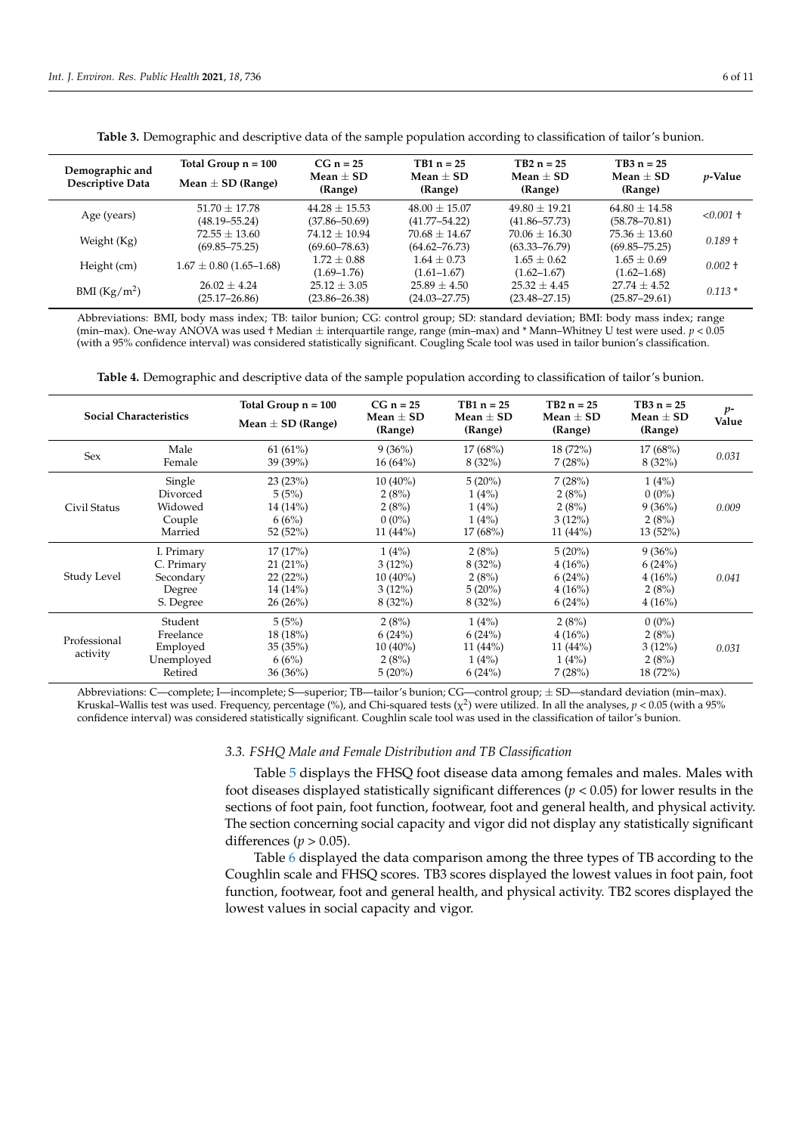<span id="page-5-0"></span>

| Demographic and<br>Descriptive Data | Total Group $n = 100$<br>Mean $\pm$ SD (Range) | $CG n = 25$<br>Mean $\pm$ SD<br>(Range) | $TB1 n = 25$<br>Mean $\pm$ SD<br>(Range) | $TB2 n = 25$<br>Mean $\pm$ SD<br>(Range) | $TB3 n = 25$<br>Mean $\pm$ SD<br>(Range) | <i>p</i> -Value |
|-------------------------------------|------------------------------------------------|-----------------------------------------|------------------------------------------|------------------------------------------|------------------------------------------|-----------------|
| Age (years)                         | $51.70 \pm 17.78$<br>$(48.19 - 55.24)$         | $44.28 \pm 15.53$<br>$(37.86 - 50.69)$  | $48.00 \pm 15.07$<br>$(41.77 - 54.22)$   | $49.80 \pm 19.21$<br>$(41.86 - 57.73)$   | $64.80 \pm 14.58$<br>$(58.78 - 70.81)$   | $< 0.001 +$     |
| Weight (Kg)                         | $72.55 \pm 13.60$<br>$(69.85 - 75.25)$         | $74.12 \pm 10.94$<br>$(69.60 - 78.63)$  | $70.68 \pm 14.67$<br>$(64.62 - 76.73)$   | $70.06 \pm 16.30$<br>$(63.33 - 76.79)$   | $75.36 \pm 13.60$<br>$(69.85 - 75.25)$   | $0.189 +$       |
| Height (cm)                         | $1.67 \pm 0.80$ (1.65-1.68)                    | $1.72 \pm 0.88$<br>$(1.69 - 1.76)$      | $1.64 \pm 0.73$<br>$(1.61 - 1.67)$       | $1.65 \pm 0.62$<br>$(1.62 - 1.67)$       | $1.65 \pm 0.69$<br>$(1.62 - 1.68)$       | $0.002 +$       |
| BMI $(Kg/m2)$                       | $26.02 \pm 4.24$<br>$(25.17 - 26.86)$          | $25.12 \pm 3.05$<br>$(23.86 - 26.38)$   | $25.89 \pm 4.50$<br>$(24.03 - 27.75)$    | $25.32 \pm 4.45$<br>$(23.48 - 27.15)$    | $27.74 \pm 4.52$<br>$(25.87 - 29.61)$    | $0.113*$        |

**Table 3.** Demographic and descriptive data of the sample population according to classification of tailor's bunion.

Abbreviations: BMI, body mass index; TB: tailor bunion; CG: control group; SD: standard deviation; BMI: body mass index; range (min–max). One-way ANOVA was used † Median ± interquartile range, range (min–max) and \* Mann–Whitney U test were used. *p* < 0.05 (with a 95% confidence interval) was considered statistically significant. Cougling Scale tool was used in tailor bunion's classification.

**Table 4.** Demographic and descriptive data of the sample population according to classification of tailor's bunion.

<span id="page-5-1"></span>

|                          | <b>Social Characteristics</b>                                | Total Group $n = 100$<br>Mean $\pm$ SD (Range)      | $CG n = 25$<br>Mean $\pm$ SD<br>(Range)                 | $TB1 n = 25$<br>Mean $\pm$ SD<br>(Range)          | $TB2 n = 25$<br>Mean $\pm$ SD<br>(Range)             | $TB3 n = 25$<br>Mean $\pm$ SD<br>(Range)           | $p-$<br>Value |
|--------------------------|--------------------------------------------------------------|-----------------------------------------------------|---------------------------------------------------------|---------------------------------------------------|------------------------------------------------------|----------------------------------------------------|---------------|
| Sex                      | Male<br>Female                                               | 61(61%)<br>39(39%)                                  | 9(36%)<br>16(64%)                                       | 17(68%)<br>8(32%)                                 | 18(72%)<br>7(28%)                                    | 17(68%)<br>8(32%)                                  | 0.031         |
| Civil Status             | Single<br>Divorced<br>Widowed<br>Couple<br>Married           | 23(23%)<br>5(5%)<br>14 (14%)<br>6(6%)<br>52 (52%)   | $10(40\%)$<br>2(8%)<br>2(8%)<br>$0(0\%)$<br>11 $(44\%)$ | $5(20\%)$<br>1(4%)<br>1(4%)<br>1(4%)<br>17(68%)   | 7(28%)<br>2(8%)<br>2(8%)<br>$3(12\%)$<br>11 $(44\%)$ | 1(4%)<br>$0(0\%)$<br>9(36%)<br>2(8%)<br>$13(52\%)$ | 0.009         |
| Study Level              | I. Primary<br>C. Primary<br>Secondary<br>Degree<br>S. Degree | 17(17%)<br>21(21%)<br>22(22%)<br>14(14%)<br>26(26%) | 1(4%)<br>$3(12\%)$<br>$10(40\%)$<br>3(12%)<br>$8(32\%)$ | 2(8%)<br>8(32%)<br>2(8%)<br>5(20%)<br>8(32%)      | 5(20%)<br>4(16%)<br>6(24%)<br>4(16%)<br>6(24%)       | 9(36%)<br>6(24%)<br>4(16%)<br>2(8%)<br>4(16%)      | 0.041         |
| Professional<br>activity | Student<br>Freelance<br>Employed<br>Unemployed<br>Retired    | 5(5%)<br>18(18%)<br>35(35%)<br>6(6%)<br>36 (36%)    | 2(8%)<br>6(24%)<br>$10(40\%)$<br>2(8%)<br>$5(20\%)$     | 1(4%)<br>6(24%)<br>11 $(44\%)$<br>1(4%)<br>6(24%) | 2(8%)<br>4(16%)<br>11 $(44\%)$<br>1(4%)<br>7(28%)    | $0(0\%)$<br>2(8%)<br>$3(12\%)$<br>2(8%)<br>18(72%) | 0.031         |

Abbreviations: C—complete; I—incomplete; S—superior; TB—tailor's bunion; CG—control group; ± SD—standard deviation (min–max). Kruskal–Wallis test was used. Frequency, percentage (%), and Chi-squared tests ( $\chi^2$ ) were utilized. In all the analyses,  $p < 0.05$  (with a 95% confidence interval) was considered statistically significant. Coughlin scale tool was used in the classification of tailor's bunion.

# *3.3. FSHQ Male and Female Distribution and TB Classification*

Table [5](#page-6-0) displays the FHSQ foot disease data among females and males. Males with foot diseases displayed statistically significant differences (*p* < 0.05) for lower results in the sections of foot pain, foot function, footwear, foot and general health, and physical activity. The section concerning social capacity and vigor did not display any statistically significant differences ( $p > 0.05$ ).

Table [6](#page-6-1) displayed the data comparison among the three types of TB according to the Coughlin scale and FHSQ scores. TB3 scores displayed the lowest values in foot pain, foot function, footwear, foot and general health, and physical activity. TB2 scores displayed the lowest values in social capacity and vigor.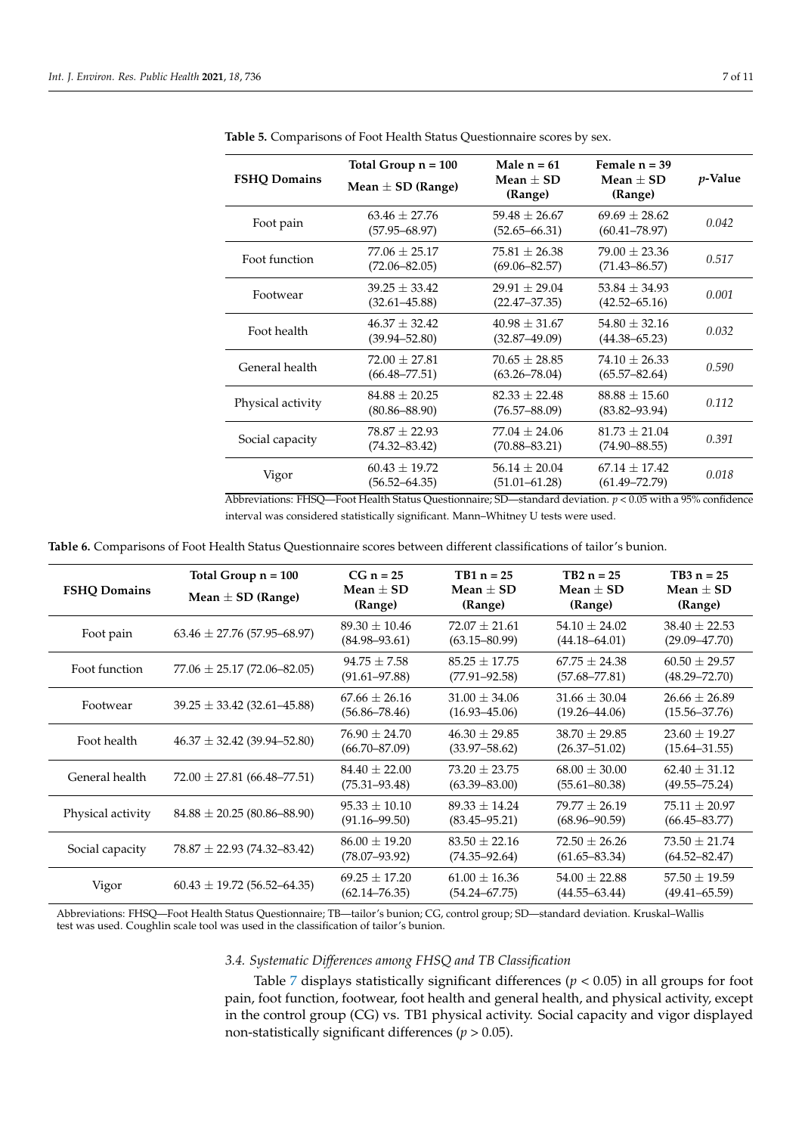|                     | Total Group $n = 100$                  | Male $n = 61$                          | Female $n = 39$                        |                 |
|---------------------|----------------------------------------|----------------------------------------|----------------------------------------|-----------------|
| <b>FSHQ Domains</b> | Mean $\pm$ SD (Range)                  | Mean $\pm$ SD<br>(Range)               | Mean $\pm$ SD<br>(Range)               | <i>p</i> -Value |
| Foot pain           | $63.46 + 27.76$<br>$(57.95 - 68.97)$   | $59.48 \pm 26.67$<br>$(52.65 - 66.31)$ | $69.69 \pm 28.62$<br>$(60.41 - 78.97)$ | 0.042           |
| Foot function       | $77.06 \pm 25.17$<br>$(72.06 - 82.05)$ | $75.81 + 26.38$<br>$(69.06 - 82.57)$   | $79.00 \pm 23.36$<br>$(71.43 - 86.57)$ | 0.517           |
| Footwear            | $39.25 \pm 33.42$<br>$(32.61 - 45.88)$ | $29.91 + 29.04$<br>$(22.47 - 37.35)$   | $53.84 \pm 34.93$<br>$(42.52 - 65.16)$ | 0.001           |
| Foot health         | $46.37 \pm 32.42$<br>$(39.94 - 52.80)$ | $40.98 \pm 31.67$<br>$(32.87 - 49.09)$ | $54.80 \pm 32.16$<br>$(44.38 - 65.23)$ | 0.032           |
| General health      | $72.00 \pm 27.81$<br>$(66.48 - 77.51)$ | $70.65 \pm 28.85$<br>$(63.26 - 78.04)$ | $74.10 \pm 26.33$<br>$(65.57 - 82.64)$ | 0.590           |
| Physical activity   | $84.88 \pm 20.25$<br>$(80.86 - 88.90)$ | $82.33 \pm 22.48$<br>$(76.57 - 88.09)$ | $88.88 \pm 15.60$<br>$(83.82 - 93.94)$ | 0.112           |
| Social capacity     | $78.87 \pm 22.93$<br>$(74.32 - 83.42)$ | $77.04 + 24.06$<br>$(70.88 - 83.21)$   | $81.73 \pm 21.04$<br>$(74.90 - 88.55)$ | 0.391           |
| Vigor               | $60.43 \pm 19.72$<br>$(56.52 - 64.35)$ | $56.14 \pm 20.04$<br>$(51.01 - 61.28)$ | $67.14 + 17.42$<br>$(61.49 - 72.79)$   | 0.018           |

<span id="page-6-0"></span>**Table 5.** Comparisons of Foot Health Status Questionnaire scores by sex.

Abbreviations: FHSQ—Foot Health Status Questionnaire; SD—standard deviation. *p* < 0.05 with a 95% confidence interval was considered statistically significant. Mann–Whitney U tests were used.

<span id="page-6-1"></span>**Table 6.** Comparisons of Foot Health Status Questionnaire scores between different classifications of tailor's bunion.

| <b>FSHO Domains</b> | Total Group $n = 100$<br>Mean $\pm$ SD (Range) | $CG n = 25$<br>Mean $\pm$ SD<br>(Range) | $TB1 n = 25$<br>Mean $\pm$ SD<br>(Range) | $TB2 n = 25$<br>Mean $\pm$ SD<br>(Range) | $TB3 n = 25$<br>Mean $\pm$ SD<br>(Range) |
|---------------------|------------------------------------------------|-----------------------------------------|------------------------------------------|------------------------------------------|------------------------------------------|
| Foot pain           | $63.46 \pm 27.76$ (57.95–68.97)                | $89.30 \pm 10.46$<br>$(84.98 - 93.61)$  | $72.07 + 21.61$<br>$(63.15 - 80.99)$     | $54.10 + 24.02$<br>$(44.18 - 64.01)$     | $38.40 \pm 22.53$<br>$(29.09 - 47.70)$   |
| Foot function       | $77.06 \pm 25.17 (72.06 - 82.05)$              | $94.75 + 7.58$<br>$(91.61 - 97.88)$     | $85.25 + 17.75$<br>$(77.91 - 92.58)$     | $67.75 + 24.38$<br>$(57.68 - 77.81)$     | $60.50 + 29.57$<br>$(48.29 - 72.70)$     |
| Footwear            | $39.25 \pm 33.42$ (32.61–45.88)                | $67.66 \pm 26.16$<br>$(56.86 - 78.46)$  | $31.00 \pm 34.06$<br>$(16.93 - 45.06)$   | $31.66 \pm 30.04$<br>$(19.26 - 44.06)$   | $26.66 \pm 26.89$<br>$(15.56 - 37.76)$   |
| Foot health         | $46.37 \pm 32.42$ (39.94–52.80)                | $76.90 \pm 24.70$<br>$(66.70 - 87.09)$  | $46.30 \pm 29.85$<br>$(33.97 - 58.62)$   | $38.70 \pm 29.85$<br>$(26.37 - 51.02)$   | $23.60 \pm 19.27$<br>$(15.64 - 31.55)$   |
| General health      | $72.00 \pm 27.81$ (66.48–77.51)                | $84.40 \pm 22.00$<br>$(75.31 - 93.48)$  | $73.20 \pm 23.75$<br>$(63.39 - 83.00)$   | $68.00 \pm 30.00$<br>$(55.61 - 80.38)$   | $62.40 \pm 31.12$<br>$(49.55 - 75.24)$   |
| Physical activity   | $84.88 \pm 20.25 (80.86 - 88.90)$              | $95.33 \pm 10.10$<br>$(91.16 - 99.50)$  | $89.33 + 14.24$<br>$(83.45 - 95.21)$     | $79.77 + 26.19$<br>$(68.96 - 90.59)$     | $75.11 \pm 20.97$<br>$(66.45 - 83.77)$   |
| Social capacity     | $78.87 \pm 22.93$ (74.32–83.42)                | $86.00 \pm 19.20$<br>$(78.07 - 93.92)$  | $83.50 \pm 22.16$<br>$(74.35 - 92.64)$   | $72.50 \pm 26.26$<br>$(61.65 - 83.34)$   | $73.50 \pm 21.74$<br>$(64.52 - 82.47)$   |
| Vigor               | $60.43 \pm 19.72$ (56.52–64.35)                | $69.25 \pm 17.20$<br>$(62.14 - 76.35)$  | $61.00 \pm 16.36$<br>$(54.24 - 67.75)$   | $54.00 \pm 22.88$<br>$(44.55 - 63.44)$   | $57.50 \pm 19.59$<br>$(49.41 - 65.59)$   |

Abbreviations: FHSQ—Foot Health Status Questionnaire; TB—tailor's bunion; CG, control group; SD—standard deviation. Kruskal–Wallis test was used. Coughlin scale tool was used in the classification of tailor's bunion.

# *3.4. Systematic Differences among FHSQ and TB Classification*

Table [7](#page-7-0) displays statistically significant differences ( $p < 0.05$ ) in all groups for foot pain, foot function, footwear, foot health and general health, and physical activity, except in the control group (CG) vs. TB1 physical activity. Social capacity and vigor displayed non-statistically significant differences (*p* > 0.05).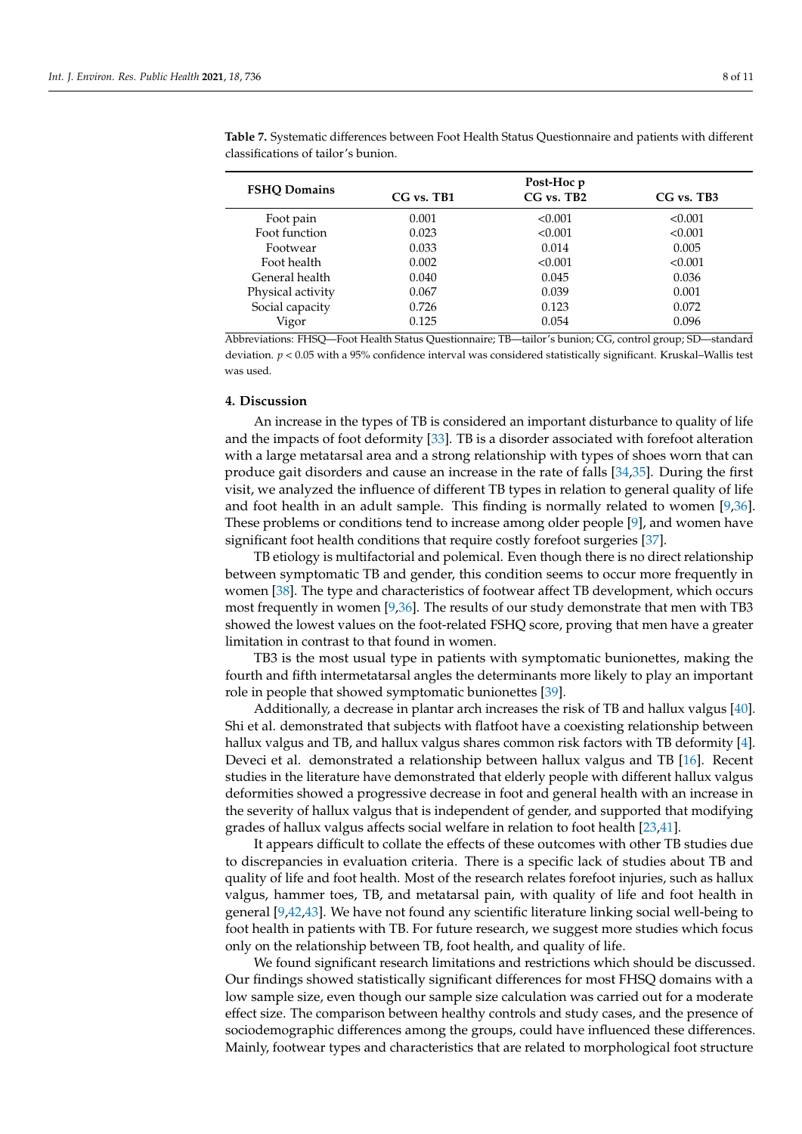|                     |            | Post-Hoc p     |              |
|---------------------|------------|----------------|--------------|
| <b>FSHO Domains</b> | CG vs. TB1 | $CG$ vs. $TB2$ | $CG$ vs. TB3 |
| Foot pain           | 0.001      | < 0.001        | < 0.001      |
| Foot function       | 0.023      | < 0.001        | < 0.001      |
| Footwear            | 0.033      | 0.014          | 0.005        |
| Foot health         | 0.002      | < 0.001        | < 0.001      |
| General health      | 0.040      | 0.045          | 0.036        |
| Physical activity   | 0.067      | 0.039          | 0.001        |
| Social capacity     | 0.726      | 0.123          | 0.072        |
| Vigor               | 0.125      | 0.054          | 0.096        |

<span id="page-7-0"></span>**Table 7.** Systematic differences between Foot Health Status Questionnaire and patients with different classifications of tailor's bunion.

Abbreviations: FHSQ—Foot Health Status Questionnaire; TB—tailor's bunion; CG, control group; SD—standard deviation. *p* < 0.05 with a 95% confidence interval was considered statistically significant. Kruskal–Wallis test was used.

#### **4. Discussion**

An increase in the types of TB is considered an important disturbance to quality of life and the impacts of foot deformity [\[33\]](#page-9-19). TB is a disorder associated with forefoot alteration with a large metatarsal area and a strong relationship with types of shoes worn that can produce gait disorders and cause an increase in the rate of falls [\[34,](#page-9-20)[35\]](#page-9-21). During the first visit, we analyzed the influence of different TB types in relation to general quality of life and foot health in an adult sample. This finding is normally related to women [\[9,](#page-8-7)[36\]](#page-9-22). These problems or conditions tend to increase among older people [\[9\]](#page-8-7), and women have significant foot health conditions that require costly forefoot surgeries [\[37\]](#page-9-23).

TB etiology is multifactorial and polemical. Even though there is no direct relationship between symptomatic TB and gender, this condition seems to occur more frequently in women [\[38\]](#page-9-24). The type and characteristics of footwear affect TB development, which occurs most frequently in women [\[9,](#page-8-7)[36\]](#page-9-22). The results of our study demonstrate that men with TB3 showed the lowest values on the foot-related FSHQ score, proving that men have a greater limitation in contrast to that found in women.

TB3 is the most usual type in patients with symptomatic bunionettes, making the fourth and fifth intermetatarsal angles the determinants more likely to play an important role in people that showed symptomatic bunionettes [\[39\]](#page-9-25).

Additionally, a decrease in plantar arch increases the risk of TB and hallux valgus [\[40\]](#page-9-26). Shi et al. demonstrated that subjects with flatfoot have a coexisting relationship between hallux valgus and TB, and hallux valgus shares common risk factors with TB deformity [\[4\]](#page-8-3). Deveci et al. demonstrated a relationship between hallux valgus and TB [\[16\]](#page-9-2). Recent studies in the literature have demonstrated that elderly people with different hallux valgus deformities showed a progressive decrease in foot and general health with an increase in the severity of hallux valgus that is independent of gender, and supported that modifying grades of hallux valgus affects social welfare in relation to foot health [\[23,](#page-9-9)[41\]](#page-9-27).

It appears difficult to collate the effects of these outcomes with other TB studies due to discrepancies in evaluation criteria. There is a specific lack of studies about TB and quality of life and foot health. Most of the research relates forefoot injuries, such as hallux valgus, hammer toes, TB, and metatarsal pain, with quality of life and foot health in general [\[9](#page-8-7)[,42,](#page-10-0)[43\]](#page-10-1). We have not found any scientific literature linking social well-being to foot health in patients with TB. For future research, we suggest more studies which focus only on the relationship between TB, foot health, and quality of life.

We found significant research limitations and restrictions which should be discussed. Our findings showed statistically significant differences for most FHSQ domains with a low sample size, even though our sample size calculation was carried out for a moderate effect size. The comparison between healthy controls and study cases, and the presence of sociodemographic differences among the groups, could have influenced these differences. Mainly, footwear types and characteristics that are related to morphological foot structure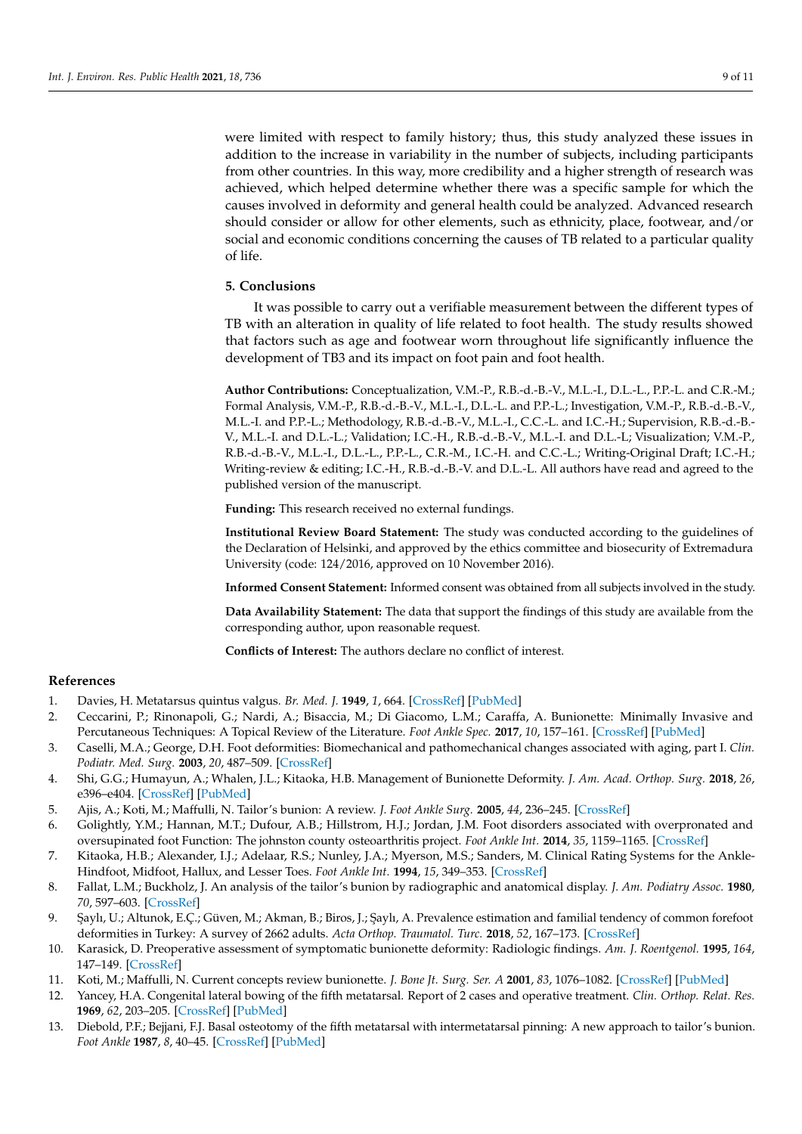were limited with respect to family history; thus, this study analyzed these issues in addition to the increase in variability in the number of subjects, including participants from other countries. In this way, more credibility and a higher strength of research was achieved, which helped determine whether there was a specific sample for which the causes involved in deformity and general health could be analyzed. Advanced research should consider or allow for other elements, such as ethnicity, place, footwear, and/or social and economic conditions concerning the causes of TB related to a particular quality of life.

# **5. Conclusions**

It was possible to carry out a verifiable measurement between the different types of TB with an alteration in quality of life related to foot health. The study results showed that factors such as age and footwear worn throughout life significantly influence the development of TB3 and its impact on foot pain and foot health.

**Author Contributions:** Conceptualization, V.M.-P., R.B.-d.-B.-V., M.L.-I., D.L.-L., P.P.-L. and C.R.-M.; Formal Analysis, V.M.-P., R.B.-d.-B.-V., M.L.-I., D.L.-L. and P.P.-L.; Investigation, V.M.-P., R.B.-d.-B.-V., M.L.-I. and P.P.-L.; Methodology, R.B.-d.-B.-V., M.L.-I., C.C.-L. and I.C.-H.; Supervision, R.B.-d.-B.- V., M.L.-I. and D.L.-L.; Validation; I.C.-H., R.B.-d.-B.-V., M.L.-I. and D.L.-L; Visualization; V.M.-P., R.B.-d.-B.-V., M.L.-I., D.L.-L., P.P.-L., C.R.-M., I.C.-H. and C.C.-L.; Writing-Original Draft; I.C.-H.; Writing-review & editing; I.C.-H., R.B.-d.-B.-V. and D.L.-L. All authors have read and agreed to the published version of the manuscript.

**Funding:** This research received no external fundings.

**Institutional Review Board Statement:** The study was conducted according to the guidelines of the Declaration of Helsinki, and approved by the ethics committee and biosecurity of Extremadura University (code: 124/2016, approved on 10 November 2016).

**Informed Consent Statement:** Informed consent was obtained from all subjects involved in the study.

**Data Availability Statement:** The data that support the findings of this study are available from the corresponding author, upon reasonable request.

**Conflicts of Interest:** The authors declare no conflict of interest.

## **References**

- <span id="page-8-0"></span>1. Davies, H. Metatarsus quintus valgus. *Br. Med. J.* **1949**, *1*, 664. [\[CrossRef\]](http://doi.org/10.1136/bmj.1.4606.664-a) [\[PubMed\]](http://www.ncbi.nlm.nih.gov/pubmed/18213814)
- <span id="page-8-1"></span>2. Ceccarini, P.; Rinonapoli, G.; Nardi, A.; Bisaccia, M.; Di Giacomo, L.M.; Caraffa, A. Bunionette: Minimally Invasive and Percutaneous Techniques: A Topical Review of the Literature. *Foot Ankle Spec.* **2017**, *10*, 157–161. [\[CrossRef\]](http://doi.org/10.1177/1938640016679696) [\[PubMed\]](http://www.ncbi.nlm.nih.gov/pubmed/27903926)
- <span id="page-8-2"></span>3. Caselli, M.A.; George, D.H. Foot deformities: Biomechanical and pathomechanical changes associated with aging, part I. *Clin. Podiatr. Med. Surg.* **2003**, *20*, 487–509. [\[CrossRef\]](http://doi.org/10.1016/S0891-8422(03)00037-5)
- <span id="page-8-3"></span>4. Shi, G.G.; Humayun, A.; Whalen, J.L.; Kitaoka, H.B. Management of Bunionette Deformity. *J. Am. Acad. Orthop. Surg.* **2018**, *26*, e396–e404. [\[CrossRef\]](http://doi.org/10.5435/JAAOS-D-17-00345) [\[PubMed\]](http://www.ncbi.nlm.nih.gov/pubmed/30130354)
- <span id="page-8-4"></span>5. Ajis, A.; Koti, M.; Maffulli, N. Tailor's bunion: A review. *J. Foot Ankle Surg.* **2005**, *44*, 236–245. [\[CrossRef\]](http://doi.org/10.1053/j.jfas.2005.02.005)
- <span id="page-8-5"></span>6. Golightly, Y.M.; Hannan, M.T.; Dufour, A.B.; Hillstrom, H.J.; Jordan, J.M. Foot disorders associated with overpronated and oversupinated foot Function: The johnston county osteoarthritis project. *Foot Ankle Int.* **2014**, *35*, 1159–1165. [\[CrossRef\]](http://doi.org/10.1177/1071100714543907)
- <span id="page-8-6"></span>7. Kitaoka, H.B.; Alexander, I.J.; Adelaar, R.S.; Nunley, J.A.; Myerson, M.S.; Sanders, M. Clinical Rating Systems for the Ankle-Hindfoot, Midfoot, Hallux, and Lesser Toes. *Foot Ankle Int.* **1994**, *15*, 349–353. [\[CrossRef\]](http://doi.org/10.1177/107110079401500701)
- 8. Fallat, L.M.; Buckholz, J. An analysis of the tailor's bunion by radiographic and anatomical display. *J. Am. Podiatry Assoc.* **1980**, *70*, 597–603. [\[CrossRef\]](http://doi.org/10.7547/87507315-70-12-597)
- <span id="page-8-7"></span>9. ¸Saylı, U.; Altunok, E.Ç.; Güven, M.; Akman, B.; Biros, J.; ¸Saylı, A. Prevalence estimation and familial tendency of common forefoot deformities in Turkey: A survey of 2662 adults. *Acta Orthop. Traumatol. Turc.* **2018**, *52*, 167–173. [\[CrossRef\]](http://doi.org/10.1016/j.aott.2018.01.003)
- <span id="page-8-8"></span>10. Karasick, D. Preoperative assessment of symptomatic bunionette deformity: Radiologic findings. *Am. J. Roentgenol.* **1995**, *164*, 147–149. [\[CrossRef\]](http://doi.org/10.2214/ajr.164.1.7998528)
- <span id="page-8-9"></span>11. Koti, M.; Maffulli, N. Current concepts review bunionette. *J. Bone Jt. Surg. Ser. A* **2001**, *83*, 1076–1082. [\[CrossRef\]](http://doi.org/10.2106/00004623-200107000-00016) [\[PubMed\]](http://www.ncbi.nlm.nih.gov/pubmed/11451980)
- <span id="page-8-10"></span>12. Yancey, H.A. Congenital lateral bowing of the fifth metatarsal. Report of 2 cases and operative treatment. *Clin. Orthop. Relat. Res.* **1969**, *62*, 203–205. [\[CrossRef\]](http://doi.org/10.1097/00003086-196901000-00028) [\[PubMed\]](http://www.ncbi.nlm.nih.gov/pubmed/5774836)
- <span id="page-8-11"></span>13. Diebold, P.F.; Bejjani, F.J. Basal osteotomy of the fifth metatarsal with intermetatarsal pinning: A new approach to tailor's bunion. *Foot Ankle* **1987**, *8*, 40–45. [\[CrossRef\]](http://doi.org/10.1177/107110078700800109) [\[PubMed\]](http://www.ncbi.nlm.nih.gov/pubmed/3623361)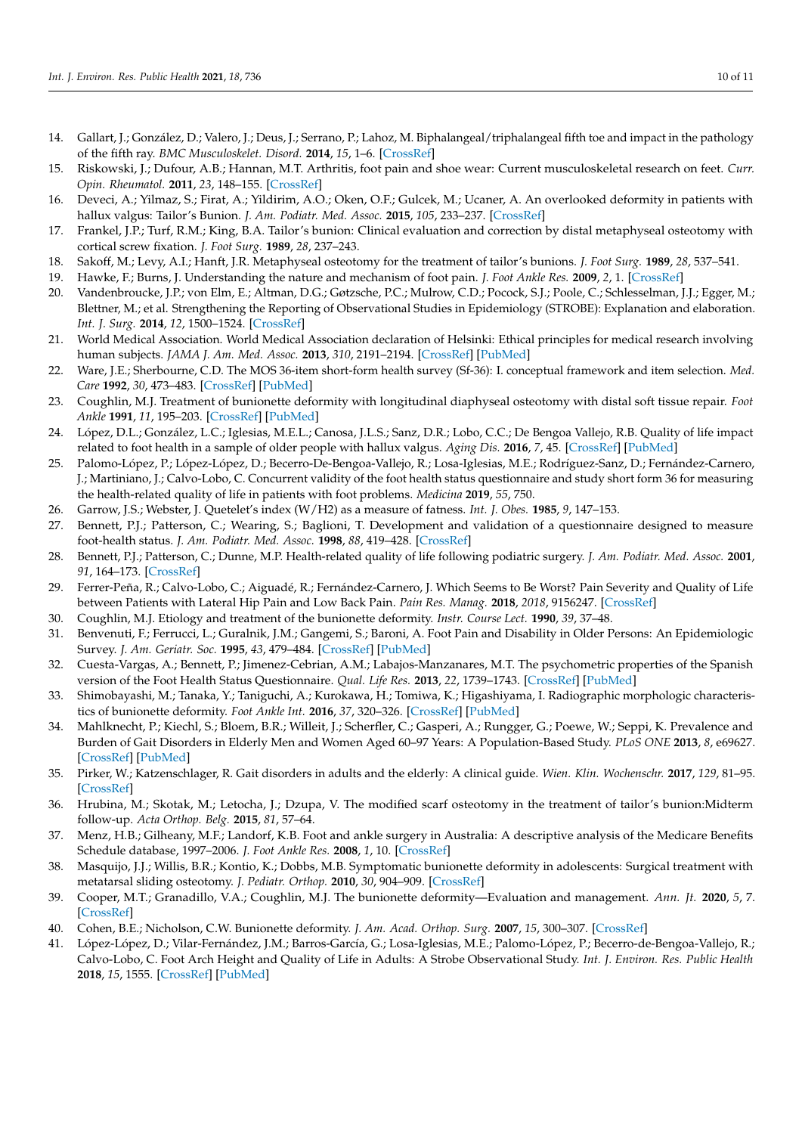- <span id="page-9-0"></span>14. Gallart, J.; González, D.; Valero, J.; Deus, J.; Serrano, P.; Lahoz, M. Biphalangeal/triphalangeal fifth toe and impact in the pathology of the fifth ray. *BMC Musculoskelet. Disord.* **2014**, *15*, 1–6. [\[CrossRef\]](http://doi.org/10.1186/1471-2474-15-295)
- <span id="page-9-1"></span>15. Riskowski, J.; Dufour, A.B.; Hannan, M.T. Arthritis, foot pain and shoe wear: Current musculoskeletal research on feet. *Curr. Opin. Rheumatol.* **2011**, *23*, 148–155. [\[CrossRef\]](http://doi.org/10.1097/BOR.0b013e3283422cf5)
- <span id="page-9-2"></span>16. Deveci, A.; Yilmaz, S.; Firat, A.; Yildirim, A.O.; Oken, O.F.; Gulcek, M.; Ucaner, A. An overlooked deformity in patients with hallux valgus: Tailor's Bunion. *J. Am. Podiatr. Med. Assoc.* **2015**, *105*, 233–237. [\[CrossRef\]](http://doi.org/10.7547/0003-0538-105.3.233)
- <span id="page-9-3"></span>17. Frankel, J.P.; Turf, R.M.; King, B.A. Tailor's bunion: Clinical evaluation and correction by distal metaphyseal osteotomy with cortical screw fixation. *J. Foot Surg.* **1989**, *28*, 237–243.
- <span id="page-9-4"></span>18. Sakoff, M.; Levy, A.I.; Hanft, J.R. Metaphyseal osteotomy for the treatment of tailor's bunions. *J. Foot Surg.* **1989**, *28*, 537–541.
- <span id="page-9-5"></span>19. Hawke, F.; Burns, J. Understanding the nature and mechanism of foot pain. *J. Foot Ankle Res.* **2009**, *2*, 1. [\[CrossRef\]](http://doi.org/10.1186/1757-1146-2-1)
- <span id="page-9-6"></span>20. Vandenbroucke, J.P.; von Elm, E.; Altman, D.G.; Gøtzsche, P.C.; Mulrow, C.D.; Pocock, S.J.; Poole, C.; Schlesselman, J.J.; Egger, M.; Blettner, M.; et al. Strengthening the Reporting of Observational Studies in Epidemiology (STROBE): Explanation and elaboration. *Int. J. Surg.* **2014**, *12*, 1500–1524. [\[CrossRef\]](http://doi.org/10.1016/j.ijsu.2014.07.014)
- <span id="page-9-7"></span>21. World Medical Association. World Medical Association declaration of Helsinki: Ethical principles for medical research involving human subjects. *JAMA J. Am. Med. Assoc.* **2013**, *310*, 2191–2194. [\[CrossRef\]](http://doi.org/10.1001/jama.2013.281053) [\[PubMed\]](http://www.ncbi.nlm.nih.gov/pubmed/24141714)
- <span id="page-9-8"></span>22. Ware, J.E.; Sherbourne, C.D. The MOS 36-item short-form health survey (Sf-36): I. conceptual framework and item selection. *Med. Care* **1992**, *30*, 473–483. [\[CrossRef\]](http://doi.org/10.1097/00005650-199206000-00002) [\[PubMed\]](http://www.ncbi.nlm.nih.gov/pubmed/1593914)
- <span id="page-9-9"></span>23. Coughlin, M.J. Treatment of bunionette deformity with longitudinal diaphyseal osteotomy with distal soft tissue repair. *Foot Ankle* **1991**, *11*, 195–203. [\[CrossRef\]](http://doi.org/10.1177/107110079101100402) [\[PubMed\]](http://www.ncbi.nlm.nih.gov/pubmed/1855704)
- <span id="page-9-10"></span>24. López, D.L.; González, L.C.; Iglesias, M.E.L.; Canosa, J.L.S.; Sanz, D.R.; Lobo, C.C.; De Bengoa Vallejo, R.B. Quality of life impact related to foot health in a sample of older people with hallux valgus. *Aging Dis.* **2016**, *7*, 45. [\[CrossRef\]](http://doi.org/10.14336/AD.2015.0914) [\[PubMed\]](http://www.ncbi.nlm.nih.gov/pubmed/26816663)
- <span id="page-9-11"></span>25. Palomo-López, P.; López-López, D.; Becerro-De-Bengoa-Vallejo, R.; Losa-Iglesias, M.E.; Rodríguez-Sanz, D.; Fernández-Carnero, J.; Martiniano, J.; Calvo-Lobo, C. Concurrent validity of the foot health status questionnaire and study short form 36 for measuring the health-related quality of life in patients with foot problems. *Medicina* **2019**, *55*, 750.
- <span id="page-9-12"></span>26. Garrow, J.S.; Webster, J. Quetelet's index (W/H2) as a measure of fatness. *Int. J. Obes.* **1985**, *9*, 147–153.
- <span id="page-9-13"></span>27. Bennett, P.J.; Patterson, C.; Wearing, S.; Baglioni, T. Development and validation of a questionnaire designed to measure foot-health status. *J. Am. Podiatr. Med. Assoc.* **1998**, *88*, 419–428. [\[CrossRef\]](http://doi.org/10.7547/87507315-88-9-419)
- <span id="page-9-14"></span>28. Bennett, P.J.; Patterson, C.; Dunne, M.P. Health-related quality of life following podiatric surgery. *J. Am. Podiatr. Med. Assoc.* **2001**, *91*, 164–173. [\[CrossRef\]](http://doi.org/10.7547/87507315-91-4-164)
- <span id="page-9-15"></span>29. Ferrer-Peña, R.; Calvo-Lobo, C.; Aiguadé, R.; Fernández-Carnero, J. Which Seems to Be Worst? Pain Severity and Quality of Life between Patients with Lateral Hip Pain and Low Back Pain. *Pain Res. Manag.* **2018**, *2018*, 9156247. [\[CrossRef\]](http://doi.org/10.1155/2018/9156247)
- <span id="page-9-16"></span>30. Coughlin, M.J. Etiology and treatment of the bunionette deformity. *Instr. Course Lect.* **1990**, *39*, 37–48.
- <span id="page-9-17"></span>31. Benvenuti, F.; Ferrucci, L.; Guralnik, J.M.; Gangemi, S.; Baroni, A. Foot Pain and Disability in Older Persons: An Epidemiologic Survey. *J. Am. Geriatr. Soc.* **1995**, *43*, 479–484. [\[CrossRef\]](http://doi.org/10.1111/j.1532-5415.1995.tb06092.x) [\[PubMed\]](http://www.ncbi.nlm.nih.gov/pubmed/7730527)
- <span id="page-9-18"></span>32. Cuesta-Vargas, A.; Bennett, P.; Jimenez-Cebrian, A.M.; Labajos-Manzanares, M.T. The psychometric properties of the Spanish version of the Foot Health Status Questionnaire. *Qual. Life Res.* **2013**, *22*, 1739–1743. [\[CrossRef\]](http://doi.org/10.1007/s11136-012-0287-3) [\[PubMed\]](http://www.ncbi.nlm.nih.gov/pubmed/23065118)
- <span id="page-9-19"></span>33. Shimobayashi, M.; Tanaka, Y.; Taniguchi, A.; Kurokawa, H.; Tomiwa, K.; Higashiyama, I. Radiographic morphologic characteristics of bunionette deformity. *Foot Ankle Int.* **2016**, *37*, 320–326. [\[CrossRef\]](http://doi.org/10.1177/1071100715614923) [\[PubMed\]](http://www.ncbi.nlm.nih.gov/pubmed/26578480)
- <span id="page-9-20"></span>34. Mahlknecht, P.; Kiechl, S.; Bloem, B.R.; Willeit, J.; Scherfler, C.; Gasperi, A.; Rungger, G.; Poewe, W.; Seppi, K. Prevalence and Burden of Gait Disorders in Elderly Men and Women Aged 60–97 Years: A Population-Based Study. *PLoS ONE* **2013**, *8*, e69627. [\[CrossRef\]](http://doi.org/10.1371/journal.pone.0069627) [\[PubMed\]](http://www.ncbi.nlm.nih.gov/pubmed/23894511)
- <span id="page-9-21"></span>35. Pirker, W.; Katzenschlager, R. Gait disorders in adults and the elderly: A clinical guide. *Wien. Klin. Wochenschr.* **2017**, *129*, 81–95. [\[CrossRef\]](http://doi.org/10.1007/s00508-016-1096-4)
- <span id="page-9-22"></span>36. Hrubina, M.; Skotak, M.; Letocha, J.; Dzupa, V. The modified scarf osteotomy in the treatment of tailor's bunion:Midterm follow-up. *Acta Orthop. Belg.* **2015**, *81*, 57–64.
- <span id="page-9-23"></span>37. Menz, H.B.; Gilheany, M.F.; Landorf, K.B. Foot and ankle surgery in Australia: A descriptive analysis of the Medicare Benefits Schedule database, 1997–2006. *J. Foot Ankle Res.* **2008**, *1*, 10. [\[CrossRef\]](http://doi.org/10.1186/1757-1146-1-10)
- <span id="page-9-24"></span>38. Masquijo, J.J.; Willis, B.R.; Kontio, K.; Dobbs, M.B. Symptomatic bunionette deformity in adolescents: Surgical treatment with metatarsal sliding osteotomy. *J. Pediatr. Orthop.* **2010**, *30*, 904–909. [\[CrossRef\]](http://doi.org/10.1097/BPO.0b013e3181fc35f5)
- <span id="page-9-25"></span>39. Cooper, M.T.; Granadillo, V.A.; Coughlin, M.J. The bunionette deformity—Evaluation and management. *Ann. Jt.* **2020**, *5*, 7. [\[CrossRef\]](http://doi.org/10.21037/aoj.2019.10.03)
- <span id="page-9-26"></span>40. Cohen, B.E.; Nicholson, C.W. Bunionette deformity. *J. Am. Acad. Orthop. Surg.* **2007**, *15*, 300–307. [\[CrossRef\]](http://doi.org/10.5435/00124635-200705000-00008)
- <span id="page-9-27"></span>41. López-López, D.; Vilar-Fernández, J.M.; Barros-García, G.; Losa-Iglesias, M.E.; Palomo-López, P.; Becerro-de-Bengoa-Vallejo, R.; Calvo-Lobo, C. Foot Arch Height and Quality of Life in Adults: A Strobe Observational Study. *Int. J. Environ. Res. Public Health* **2018**, *15*, 1555. [\[CrossRef\]](http://doi.org/10.3390/ijerph15071555) [\[PubMed\]](http://www.ncbi.nlm.nih.gov/pubmed/30041462)